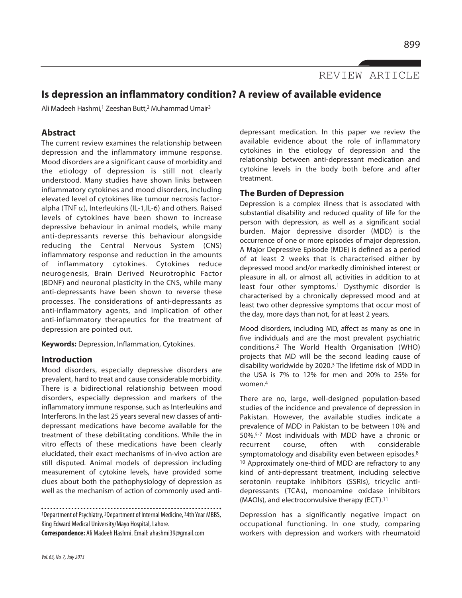REVIEW ARTICLE

# **Is depression an inflammatory condition? A review of available evidence**

Ali Madeeh Hashmi,<sup>1</sup> Zeeshan Butt,<sup>2</sup> Muhammad Umair<sup>3</sup>

## **Abstract**

The current review examines the relationship between depression and the inflammatory immune response. Mood disorders are a significant cause of morbidity and the etiology of depression is still not clearly understood. Many studies have shown links between inflammatory cytokines and mood disorders, including elevated level of cytokines like tumour necrosis factoralpha (TNF $\alpha$ ), Interleukins (IL-1,IL-6) and others. Raised levels of cytokines have been shown to increase depressive behaviour in animal models, while many anti-depressants reverse this behaviour alongside reducing the Central Nervous System (CNS) inflammatory response and reduction in the amounts of inflammatory cytokines. Cytokines reduce neurogenesis, Brain Derived Neurotrophic Factor (BDNF) and neuronal plasticity in the CNS, while many anti-depressants have been shown to reverse these processes. The considerations of anti-depressants as anti-inflammatory agents, and implication of other anti-inflammatory therapeutics for the treatment of depression are pointed out.

**Keywords:** Depression, Inflammation, Cytokines.

## **Introduction**

Mood disorders, especially depressive disorders are prevalent, hard to treat and cause considerable morbidity. There is a bidirectional relationship between mood disorders, especially depression and markers of the inflammatory immune response, such as Interleukins and Interferons. In the last 25 years several new classes of antidepressant medications have become available for the treatment of these debilitating conditions. While the in vitro effects of these medications have been clearly elucidated, their exact mechanisms of in-vivo action are still disputed. Animal models of depression including measurement of cytokine levels, have provided some clues about both the pathophysiology of depression as well as the mechanism of action of commonly used anti-

<sup>1</sup>Department of Psychiatry, 2Department of Internal Medicine, 34th Year MBBS, King Edward Medical University/Mayo Hospital, Lahore.

**Correspondence:** Ali Madeeh Hashmi. Email: ahashmi39@gmail.com

depressant medication. In this paper we review the available evidence about the role of inflammatory cytokines in the etiology of depression and the relationship between anti-depressant medication and cytokine levels in the body both before and after treatment.

## **The Burden of Depression**

Depression is a complex illness that is associated with substantial disability and reduced quality of life for the person with depression, as well as a significant social burden. Major depressive disorder (MDD) is the occurrence of one or more episodes of major depression. A Major Depressive Episode (MDE) is defined as a period of at least 2 weeks that is characterised either by depressed mood and/or markedly diminished interest or pleasure in all, or almost all, activities in addition to at least four other symptoms.<sup>1</sup> Dysthymic disorder is characterised by a chronically depressed mood and at least two other depressive symptoms that occur most of the day, more days than not, for at least 2 years.

Mood disorders, including MD, affect as many as one in five individuals and are the most prevalent psychiatric conditions.<sup>2</sup> The World Health Organisation (WHO) projects that MD will be the second leading cause of disability worldwide by 2020.<sup>3</sup> The lifetime risk of MDD in the USA is 7% to 12% for men and 20% to 25% for women.<sup>4</sup>

There are no, large, well-designed population-based studies of the incidence and prevalence of depression in Pakistan. However, the available studies indicate a prevalence of MDD in Pakistan to be between 10% and 50%.5-7 Most individuals with MDD have a chronic or recurrent course, often with considerable symptomatology and disability even between episodes.<sup>8-</sup> <sup>10</sup> Approximately one-third of MDD are refractory to any kind of anti-depressant treatment, including selective serotonin reuptake inhibitors (SSRIs), tricyclic antidepressants (TCAs), monoamine oxidase inhibitors (MAOIs), and electroconvulsive therapy (ECT).<sup>11</sup>

Depression has a significantly negative impact on occupational functioning. In one study, comparing workers with depression and workers with rheumatoid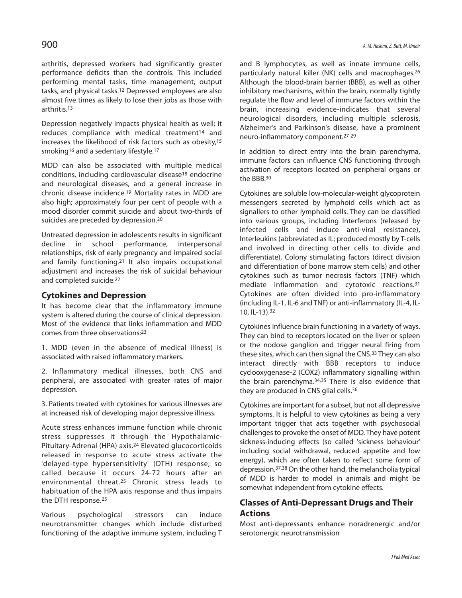arthritis, depressed workers had significantly greater performance deficits than the controls. This included performing mental tasks, time management, output tasks, and physical tasks.<sup>12</sup> Depressed employees are also almost five times as likely to lose their jobs as those with arthritis.<sup>13</sup>

Depression negatively impacts physical health as well; it reduces compliance with medical treatment<sup>14</sup> and increases the likelihood of risk factors such as obesity,<sup>15</sup> smoking<sup>16</sup> and a sedentary lifestyle.<sup>17</sup>

MDD can also be associated with multiple medical conditions, including cardiovascular disease<sup>18</sup> endocrine and neurological diseases, and a general increase in chronic disease incidence.<sup>19</sup> Mortality rates in MDD are also high; approximately four per cent of people with a mood disorder commit suicide and about two-thirds of suicides are preceded by depression.<sup>20</sup>

Untreated depression in adolescents results in significant decline in school performance, interpersonal relationships, risk of early pregnancy and impaired social and family functioning.<sup>21</sup> It also impairs occupational adjustment and increases the risk of suicidal behaviour and completed suicide.<sup>22</sup>

## **Cytokines and Depression**

It has become clear that the inflammatory immune system is altered during the course of clinical depression. Most of the evidence that links inflammation and MDD comes from three observations:<sup>23</sup>

1. MDD (even in the absence of medical illness) is associated with raised inflammatory markers.

2. Inflammatory medical illnesses, both CNS and peripheral, are associated with greater rates of major depression.

3. Patients treated with cytokines for various illnesses are at increased risk of developing major depressive illness.

Acute stress enhances immune function while chronic stress suppresses it through the Hypothalamic-Pituitary-Adrenal (HPA) axis.<sup>24</sup> Elevated glucocorticoids released in response to acute stress activate the 'delayed-type hypersensitivity' (DTH) response; so called because it occurs 24-72 hours after an environmental threat.<sup>25</sup> Chronic stress leads to habituation of the HPA axis response and thus impairs the DTH response.<sup>25</sup>

Various psychological stressors can induce neurotransmitter changes which include disturbed functioning of the adaptive immune system, including T and B lymphocytes, as well as innate immune cells, particularly natural killer (NK) cells and macrophages.<sup>26</sup> Although the blood-brain barrier (BBB), as well as other inhibitory mechanisms, within the brain, normally tightly regulate the flow and level of immune factors within the brain, increasing evidence-indicates that several neurological disorders, including multiple sclerosis, Alzheimer's and Parkinson's disease, have a prominent neuro-inflammatory component.27-29

In addition to direct entry into the brain parenchyma, immune factors can influence CNS functioning through activation of receptors located on peripheral organs or the BBB.<sup>30</sup>

Cytokines are soluble low-molecular-weight glycoprotein messengers secreted by lymphoid cells which act as signallers to other lymphoid cells. They can be classified into various groups, including Interferons (released by infected cells and induce anti-viral resistance), Interleukins (abbreviated as IL; produced mostly by T-cells and involved in directing other cells to divide and differentiate), Colony stimulating factors (direct division and differentiation of bone marrow stem cells) and other cytokines such as tumor necrosis factors (TNF) which mediate inflammation and cytotoxic reactions.<sup>31</sup> Cytokines are often divided into pro-inflammatory (including IL-1, IL-6 and TNF) or anti-inflammatory (IL-4, IL-10, IL-13).<sup>32</sup>

Cytokines influence brain functioning in a variety of ways. They can bind to receptors located on the liver or spleen or the nodose ganglion and trigger neural firing from these sites, which can then signal the CNS.<sup>33</sup> They can also interact directly with BBB receptors to induce cyclooxygenase-2 (COX2) inflammatory signalling within the brain parenchyma.<sup>34,35</sup> There is also evidence that they are produced in CNS glial cells.<sup>36</sup>

Cytokines are important for a subset, but not all depressive symptoms. It is helpful to view cytokines as being a very important trigger that acts together with psychosocial challenges to provoke the onset of MDD. They have potent sickness-inducing effects (so called 'sickness behaviour' including social withdrawal, reduced appetite and low energy), which are often taken to reflect some form of depression.37,38 On the other hand, the melancholia typical of MDD is harder to model in animals and might be somewhat independent from cytokine effects.

## **Classes of Anti-Depressant Drugs and Their Actions**

Most anti-depressants enhance noradrenergic and/or serotonergic neurotransmission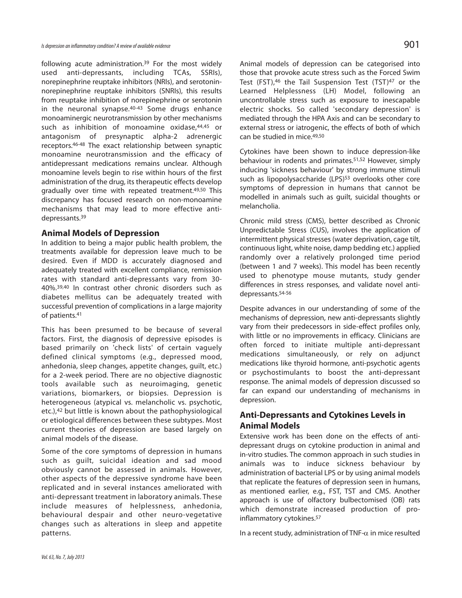following acute administration.<sup>39</sup> For the most widely used anti-depressants, including TCAs, SSRIs), norepinephrine reuptake inhibitors (NRIs), and serotoninnorepinephrine reuptake inhibitors (SNRIs), this results from reuptake inhibition of norepinephrine or serotonin in the neuronal synapse.40-43 Some drugs enhance monoaminergic neurotransmission by other mechanisms such as inhibition of monoamine oxidase,44,45 or antagonism of presynaptic alpha-2 adrenergic receptors.46-48 The exact relationship between synaptic monoamine neurotransmission and the efficacy of antidepressant medications remains unclear. Although monoamine levels begin to rise within hours of the first administration of the drug, its therapeutic effects develop gradually over time with repeated treatment.49,50 This discrepancy has focused research on non-monoamine mechanisms that may lead to more effective antidepressants.<sup>39</sup>

#### **Animal Models of Depression**

In addition to being a major public health problem, the treatments available for depression leave much to be desired. Even if MDD is accurately diagnosed and adequately treated with excellent compliance, remission rates with standard anti-depressants vary from 30- 40%.39,40 In contrast other chronic disorders such as diabetes mellitus can be adequately treated with successful prevention of complications in a large majority of patients.<sup>41</sup>

This has been presumed to be because of several factors. First, the diagnosis of depressive episodes is based primarily on 'check lists' of certain vaguely defined clinical symptoms (e.g., depressed mood, anhedonia, sleep changes, appetite changes, guilt, etc.) for a 2-week period. There are no objective diagnostic tools available such as neuroimaging, genetic variations, biomarkers, or biopsies. Depression is heterogeneous (atypical vs. melancholic vs. psychotic, etc.),<sup>42</sup> but little is known about the pathophysiological or etiological differences between these subtypes. Most current theories of depression are based largely on animal models of the disease.

Some of the core symptoms of depression in humans such as guilt, suicidal ideation and sad mood obviously cannot be assessed in animals. However, other aspects of the depressive syndrome have been replicated and in several instances ameliorated with anti-depressant treatment in laboratory animals. These include measures of helplessness, anhedonia, behavioural despair and other neuro-vegetative changes such as alterations in sleep and appetite patterns.

Animal models of depression can be categorised into those that provoke acute stress such as the Forced Swim Test (FST),<sup>46</sup> the Tail Suspension Test (TST)<sup>47</sup> or the Learned Helplessness (LH) Model, following an uncontrollable stress such as exposure to inescapable electric shocks. So called 'secondary depression' is mediated through the HPA Axis and can be secondary to external stress or iatrogenic, the effects of both of which can be studied in mice.49,50

Cytokines have been shown to induce depression-like behaviour in rodents and primates.51,52 However, simply inducing 'sickness behaviour' by strong immune stimuli such as lipopolysaccharide (LPS)<sup>53</sup> overlooks other core symptoms of depression in humans that cannot be modelled in animals such as guilt, suicidal thoughts or melancholia.

Chronic mild stress (CMS), better described as Chronic Unpredictable Stress (CUS), involves the application of intermittent physical stresses (water deprivation, cage tilt, continuous light, white noise, damp bedding etc.) applied randomly over a relatively prolonged time period (between 1 and 7 weeks). This model has been recently used to phenotype mouse mutants, study gender differences in stress responses, and validate novel antidepressants.54-56

Despite advances in our understanding of some of the mechanisms of depression, new anti-depressants slightly vary from their predecessors in side-effect profiles only, with little or no improvements in efficacy. Clinicians are often forced to initiate multiple anti-depressant medications simultaneously, or rely on adjunct medications like thyroid hormone, anti-psychotic agents or psychostimulants to boost the anti-depressant response. The animal models of depression discussed so far can expand our understanding of mechanisms in depression.

## **Anti-Depressants and Cytokines Levels in Animal Models**

Extensive work has been done on the effects of antidepressant drugs on cytokine production in animal and in-vitro studies. The common approach in such studies in animals was to induce sickness behaviour by administration of bacterial LPS or by using animal models that replicate the features of depression seen in humans, as mentioned earlier, e.g., FST, TST and CMS. Another approach is use of olfactory bulbectomised (OB) rats which demonstrate increased production of proinflammatory cytokines.<sup>57</sup>

In a recent study, administration of TNF- $\alpha$  in mice resulted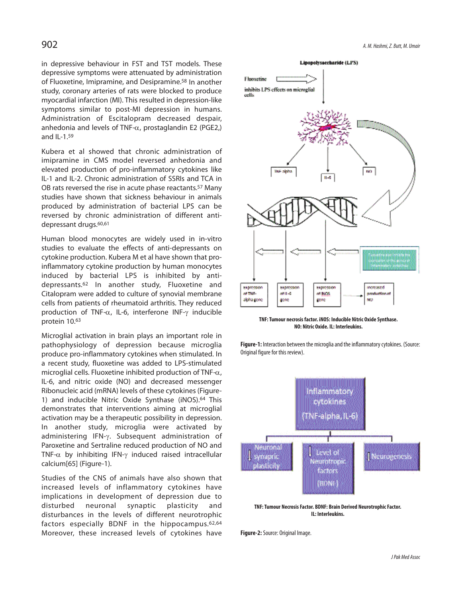in depressive behaviour in FST and TST models. These depressive symptoms were attenuated by administration of Fluoxetine, Imipramine, and Desipramine.<sup>58</sup> In another study, coronary arteries of rats were blocked to produce myocardial infarction (MI). This resulted in depression-like symptoms similar to post-MI depression in humans. Administration of Escitalopram decreased despair, anhedonia and levels of TNF- $\alpha$ , prostaglandin E2 (PGE2,) and IL-1.<sup>59</sup>

Kubera et al showed that chronic administration of imipramine in CMS model reversed anhedonia and elevated production of pro-inflammatory cytokines like IL-1 and IL-2. Chronic administration of SSRIs and TCA in OB rats reversed the rise in acute phase reactants.<sup>57</sup> Many studies have shown that sickness behaviour in animals produced by administration of bacterial LPS can be reversed by chronic administration of different antidepressant drugs.<sup>60,61</sup>

Human blood monocytes are widely used in in-vitro studies to evaluate the effects of anti-depressants on cytokine production. Kubera M et al have shown that proinflammatory cytokine production by human monocytes induced by bacterial LPS is inhibited by antidepressants.<sup>62</sup> In another study, Fluoxetine and Citalopram were added to culture of synovial membrane cells from patients of rheumatoid arthritis. They reduced production of TNF-α, IL-6, interferone INF-γ inducible protein 10.<sup>63</sup>

Microglial activation in brain plays an important role in pathophysiology of depression because microglia produce pro-inflammatory cytokines when stimulated. In a recent study, fluoxetine was added to LPS-stimulated microglial cells. Fluoxetine inhibited production of TNF- $\alpha$ , IL-6, and nitric oxide (NO) and decreased messenger Ribonucleic acid (mRNA) levels of these cytokines (Figure-1) and inducible Nitric Oxide Synthase (iNOS).<sup>64</sup> This demonstrates that interventions aiming at microglial activation may be a therapeutic possibility in depression. In another study, microglia were activated by administering IFN-γ. Subsequent administration of Paroxetine and Sertraline reduced production of NO and TNF-α by inhibiting IFN-γ induced raised intracellular calcium[65] (Figure-1).

Studies of the CNS of animals have also shown that increased levels of inflammatory cytokines have implications in development of depression due to disturbed neuronal synaptic plasticity and disturbances in the levels of different neurotrophic factors especially BDNF in the hippocampus.62,64 Moreover, these increased levels of cytokines have



**TNF: Tumour necrosis factor. iNOS: Inducible Nitric Oxide Synthase. NO: Nitric Oxide. IL: Interleukins.**

**Figure-1:** Interaction between the microglia and the inflammatory cytokines. (Source: Original figure for this review).



**TNF: Tumour Necrosis Factor. BDNF: Brain Derived Neurotrophic Factor. IL: Interleukins.**

**Figure-2:** Source: Original Image.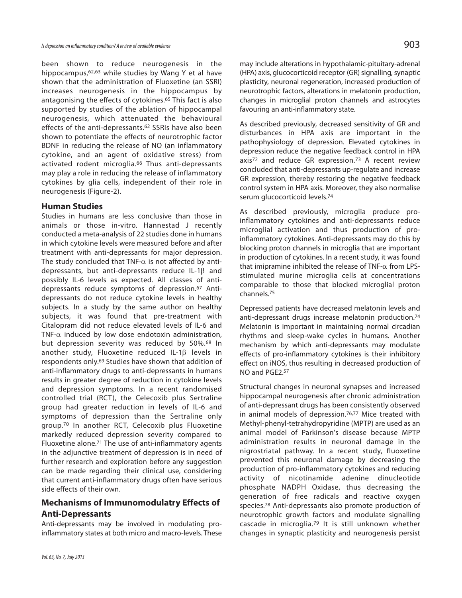been shown to reduce neurogenesis in the hippocampus,62,63 while studies by Wang Y et al have shown that the administration of Fluoxetine (an SSRI) increases neurogenesis in the hippocampus by antagonising the effects of cytokines.<sup>65</sup> This fact is also supported by studies of the ablation of hippocampal neurogenesis, which attenuated the behavioural effects of the anti-depressants.<sup>62</sup> SSRIs have also been shown to potentiate the effects of neurotrophic factor BDNF in reducing the release of NO (an inflammatory cytokine, and an agent of oxidative stress) from activated rodent microglia.<sup>66</sup> Thus anti-depressants may play a role in reducing the release of inflammatory cytokines by glia cells, independent of their role in neurogenesis (Figure-2).

#### **Human Studies**

Studies in humans are less conclusive than those in animals or those in-vitro. Hannestad J recently conducted a meta-analysis of 22 studies done in humans in which cytokine levels were measured before and after treatment with anti-depressants for major depression. The study concluded that TNF- $\alpha$  is not affected by antidepressants, but anti-depressants reduce IL-1β and possibly IL-6 levels as expected. All classes of antidepressants reduce symptoms of depression.<sup>67</sup> Antidepressants do not reduce cytokine levels in healthy subjects. In a study by the same author on healthy subjects, it was found that pre-treatment with Citalopram did not reduce elevated levels of IL-6 and TNF- $\alpha$  induced by low dose endotoxin administration, but depression severity was reduced by 50%.<sup>68</sup> In another study, Fluoxetine reduced IL-1β levels in respondents only.<sup>69</sup> Studies have shown that addition of anti-inflammatory drugs to anti-depressants in humans results in greater degree of reduction in cytokine levels and depression symptoms. In a recent randomised controlled trial (RCT), the Celecoxib plus Sertraline group had greater reduction in levels of IL-6 and symptoms of depression than the Sertraline only group.<sup>70</sup> In another RCT, Celecoxib plus Fluoxetine markedly reduced depression severity compared to Fluoxetine alone.<sup>71</sup> The use of anti-inflammatory agents in the adjunctive treatment of depression is in need of further research and exploration before any suggestion can be made regarding their clinical use, considering that current anti-inflammatory drugs often have serious side effects of their own.

## **Mechanisms of Immunomodulatry Effects of Anti-Depressants**

Anti-depressants may be involved in modulating proinflammatory states at both micro and macro-levels. These

may include alterations in hypothalamic-pituitary-adrenal (HPA) axis, glucocorticoid receptor (GR) signalling, synaptic plasticity, neuronal regeneration, increased production of neurotrophic factors, alterations in melatonin production, changes in microglial proton channels and astrocytes favouring an anti-inflammatory state.

As described previously, decreased sensitivity of GR and disturbances in HPA axis are important in the pathophysiology of depression. Elevated cytokines in depression reduce the negative feedback control in HPA axis<sup>72</sup> and reduce GR expression.<sup>73</sup> A recent review concluded that anti-depressants up-regulate and increase GR expression, thereby restoring the negative feedback control system in HPA axis. Moreover, they also normalise serum glucocorticoid levels.<sup>74</sup>

As described previously, microglia produce proinflammatory cytokines and anti-depressants reduce microglial activation and thus production of proinflammatory cytokines. Anti-depressants may do this by blocking proton channels in microglia that are important in production of cytokines. In a recent study, it was found that imipramine inhibited the release of TNF- $\alpha$  from LPSstimulated murine microglia cells at concentrations comparable to those that blocked microglial proton channels.<sup>75</sup>

Depressed patients have decreased melatonin levels and anti-depressant drugs increase melatonin production.<sup>74</sup> Melatonin is important in maintaining normal circadian rhythms and sleep-wake cycles in humans. Another mechanism by which anti-depressants may modulate effects of pro-inflammatory cytokines is their inhibitory effect on iNOS, thus resulting in decreased production of NO and PGE2.<sup>57</sup>

Structural changes in neuronal synapses and increased hippocampal neurogenesis after chronic administration of anti-depressant drugs has been consistently observed in animal models of depression.76,77 Mice treated with Methyl-phenyl-tetrahydropyridine (MPTP) are used as an animal model of Parkinson's disease because MPTP administration results in neuronal damage in the nigrostriatal pathway. In a recent study, fluoxetine prevented this neuronal damage by decreasing the production of pro-inflammatory cytokines and reducing activity of nicotinamide adenine dinucleotide phosphate NADPH Oxidase, thus decreasing the generation of free radicals and reactive oxygen species.<sup>78</sup> Anti-depressants also promote production of neurotrophic growth factors and modulate signalling cascade in microglia.<sup>79</sup> It is still unknown whether changes in synaptic plasticity and neurogenesis persist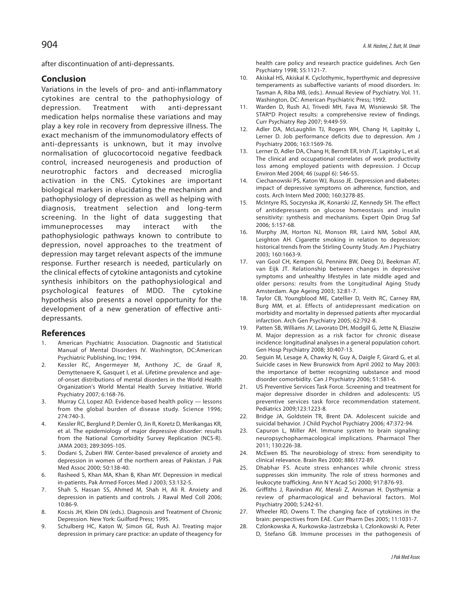after discontinuation of anti-depressants.

## **Conclusion**

Variations in the levels of pro- and anti-inflammatory cytokines are central to the pathophysiology of depression. Treatment with anti-depressant medication helps normalise these variations and may play a key role in recovery from depressive illness. The exact mechanism of the immunomodulatory effects of anti-depressants is unknown, but it may involve normalisation of glucocortocoid negative feedback control, increased neurogenesis and production of neurotrophic factors and decreased microglia activation in the CNS. Cytokines are important biological markers in elucidating the mechanism and pathophysiology of depression as well as helping with diagnosis, treatment selection and long-term screening. In the light of data suggesting that immuneprocesses may interact with the pathophysiologic pathways known to contribute to depression, novel approaches to the treatment of depression may target relevant aspects of the immune response. Further research is needed, particularly on the clinical effects of cytokine antagonists and cytokine synthesis inhibitors on the pathophysiological and psychological features of MDD. The cytokine hypothesis also presents a novel opportunity for the development of a new generation of effective antidepressants.

### **References**

- 1. American Psychiatric Association. Diagnostic and Statistical Manual of Mental Disorders IV. Washington, DC:American Psychiatric Publishing, Inc; 1994.
- 2. Kessler RC, Angermeyer M, Anthony JC, de Graaf R, Demyttenaere K, Gasquet I, et al. Lifetime prevalence and ageof-onset distributions of mental disorders in the World Health Organization's World Mental Health Survey Initiative. World Psychiatry 2007; 6:168-76.
- 3. Murray CJ, Lopez AD. Evidence-based health policy lessons from the global burden of disease study. Science 1996; 274:740-3.
- 4. Kessler RC, Berglund P, Demler O, Jin R, Koretz D, Merikangas KR, et al. The epidemiology of major depressive disorder: results from the National Comorbidity Survey Replication (NCS-R). JAMA 2003; 289:3095-105.
- 5. Dodani S, Zuberi RW. Center-based prevalence of anxiety and depression in women of the northern areas of Pakistan. J Pak Med Assoc 2000; 50:138-40.
- 6. Rasheed S, Khan MA, Khan B, Khan MY. Depression in medical in-patients. Pak Armed Forces Med J 2003; 53:132-5.
- 7. Shah S, Hassan SS, Ahmed M, Shah H, Ali R. Anxiety and depression in patients and controls. J Rawal Med Coll 2006; 10:86-9.
- 8. Kocsis JH, Klein DN (eds.). Diagnosis and Treatment of Chronic Depression. New York: Guilford Press; 1995.
- 9. Schulberg HC, Katon W, Simon GE, Rush AJ. Treating major depression in primary care practice: an update of theagency for

health care policy and research practice guidelines. Arch Gen Psychiatry 1998; 55:1121-7.

- 10. Akiskal HS, Akiskal K. Cyclothymic, hyperthymic and depressive temperaments as subaffective variants of mood disorders. In: Tasman A, Riba MB, (eds.). Annual Review of Psychiatry. Vol. 11. Washington, DC: American Psychiatric Press; 1992.
- 11. Warden D, Rush AJ, Trivedi MH, Fava M, Wisniewski SR. The STAR\*D Project results: a comprehensive review of findings. Curr Psychiatry Rep 2007; 9:449-59.
- 12. Adler DA, McLaughlin TJ, Rogers WH, Chang H, Lapitsky L, Lerner D. Job performance deficits due to depression. Am J Psychiatry 2006; 163:1569-76.
- 13. Lerner D, Adler DA, Chang H, Berndt ER, Irish JT, Lapitsky L, et al. The clinical and occupational correlates of work productivity loss among employed patients with depression. J Occup Environ Med 2004; 46 (suppl 6): S46-55.
- 14. Ciechanowski PS, Katon WJ, Russo JE. Depression and diabetes: impact of depressive symptoms on adherence, function, and costs. Arch Intern Med 2000; 160:3278-85.
- 15. McIntyre RS, Soczynska JK, Konarski JZ, Kennedy SH. The effect of antidepressants on glucose homeostasis and insulin sensitivity: synthesis and mechanisms. Expert Opin Drug Saf 2006; 5:157-68.
- 16. Murphy JM, Horton NJ, Monson RR, Laird NM, Sobol AM, Leighton AH. Cigarette smoking in relation to depression: historical trends from the Stirling County Study. Am J Psychiatry 2003; 160:1663-9.
- 17. van Gool CH, Kempen GI, Penninx BW, Deeg DJ, Beekman AT, van Eijk JT. Relationship between changes in depressive symptoms and unhealthy lifestyles in late middle aged and older persons: results from the Longitudinal Aging Study Amsterdam. Age Ageing 2003; 32:81-7.
- 18. Taylor CB, Youngblood ME, Catellier D, Veith RC, Carney RM, Burg MM, et al. Effects of antidepressant medication on morbidity and mortality in depressed patients after myocardial infarction. Arch Gen Psychiatry 2005; 62:792-8.
- 19. Patten SB, Williams JV, Lavorato DH, Modgill G, Jette N, Eliasziw M. Major depression as a risk factor for chronic disease incidence: longitudinal analyses in a general population cohort. Gen Hosp Psychiatry 2008; 30:407-13.
- 20. Seguin M, Lesage A, Chawky N, Guy A, Daigle F, Girard G, et al. Suicide cases in New Brunswick from April 2002 to May 2003: the importance of better recognizing substance and mood disorder comorbidity. Can J Psychiatry 2006; 51:581-6.
- 21. US Preventive Services Task Force. Screening and treatment for major depressive disorder in children and adolescents: US preventive services task force recommendation statement. Pediatrics 2009;123:1223-8.
- 22. Bridge JA, Goldstein TR, Brent DA. Adolescent suicide and suicidal behavior. J Child Psychol Psychiatry 2006; 47:372-94.
- 23. Capuron L, Miller AH. Immune system to brain signaling: neuropsychopharmacological implications. Pharmacol Ther 2011; 130:226-38.
- 24. McEwen BS. The neurobiology of stress: from serendipity to clinical relevance. Brain Res 2000; 886:172-89.
- 25. Dhabhar FS. Acute stress enhances while chronic stress suppresses skin immunity. The role of stress hormones and leukocyte trafficking. Ann N Y Acad Sci 2000; 917:876-93.
- 26. Griffiths J, Ravindran AV, Merali Z, Anisman H. Dysthymia: a review of pharmacological and behavioral factors. Mol Psychiatry 2000; 5:242-61.
- 27. Wheeler RD, Owens T. The changing face of cytokines in the brain: perspectives from EAE. Curr Pharm Des 2005; 11:1031-7.
- 28. Czlonkowska A, Kurkowska-Jastrzebska I, Czlonkowski A, Peter D, Stefano GB. Immune processes in the pathogenesis of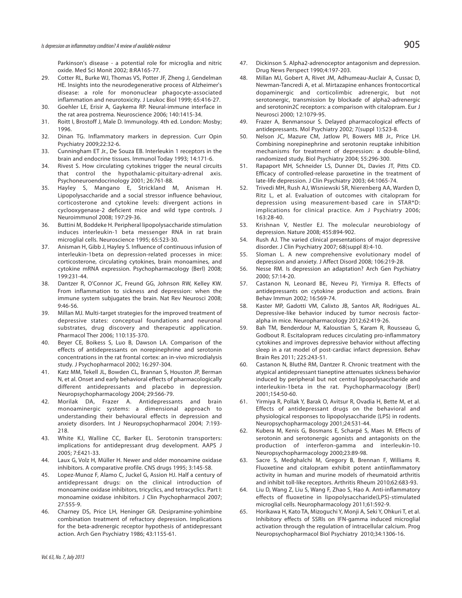Parkinson's disease - a potential role for microglia and nitric oxide. Med Sci Monit 2002; 8:RA165-77.

- Cotter RL, Burke WJ, Thomas VS, Potter JF, Zheng J, Gendelman HE. Insights into the neurodegenerative process of Alzheimer's disease: a role for mononuclear phagocyte-associated inflammation and neurotoxicity. J Leukoc Biol 1999; 65:416-27.
- 30. Goehler LE, Erisir A, Gaykema RP. Neural-immune interface in the rat area postrema. Neuroscience 2006; 140:1415-34.
- 31. Roitt I, Brostoff J, Male D. Immunology. 4th ed. London: Mosby; 1996.
- 32. Dinan TG. Inflammatory markers in depression. Curr Opin Psychiatry 2009;22:32-6.
- 33. Cunningham ET Jr., De Souza EB. Interleukin 1 receptors in the brain and endocrine tissues. Immunol Today 1993; 14:171-6.
- 34. Rivest S. How circulating cytokines trigger the neural circuits that control the hypothalamic-pituitary-adrenal axis. Psychoneuroendocrinology 2001; 26:761-88.
- 35. Hayley S, Mangano E, Strickland M, Anisman H. Lipopolysaccharide and a social stressor influence behaviour, corticosterone and cytokine levels: divergent actions in cyclooxygenase-2 deficient mice and wild type controls. J Neuroimmunol 2008; 197:29-36.
- 36. Buttini M, Boddeke H. Peripheral lipopolysaccharide stimulation induces interleukin-1 beta messenger RNA in rat brain microglial cells. Neuroscience 1995; 65:523-30.
- 37. Anisman H, Gibb J, Hayley S. Influence of continuous infusion of interleukin-1beta on depression-related processes in mice: corticosterone, circulating cytokines, brain monoamines, and cytokine mRNA expression. Psychopharmacology (Berl) 2008; 199:231-44.
- 38. Dantzer R, O'Connor JC, Freund GG, Johnson RW, Kelley KW. From inflammation to sickness and depression: when the immune system subjugates the brain. Nat Rev Neurosci 2008; 9:46-56.
- 39. Millan MJ. Multi-target strategies for the improved treatment of depressive states: conceptual foundations and neuronal substrates, drug discovery and therapeutic application. Pharmacol Ther 2006; 110:135-370.
- 40. Beyer CE, Boikess S, Luo B, Dawson LA. Comparison of the effects of antidepressants on norepinephrine and serotonin concentrations in the rat frontal cortex: an in-vivo microdialysis study. J Psychopharmacol 2002; 16:297-304.
- 41. Katz MM, Tekell JL, Bowden CL, Brannan S, Houston JP, Berman N, et al. Onset and early behavioral effects of pharmacologically different antidepressants and placebo in depression. Neuropsychopharmacology 2004; 29:566-79.
- 42. Morilak DA, Frazer A. Antidepressants and brain monoaminergic systems: a dimensional approach to understanding their behavioural effects in depression and anxiety disorders. Int J Neuropsychopharmacol 2004; 7:193- 218.
- 43. White KJ, Walline CC, Barker EL. Serotonin transporters: implications for antidepressant drug development. AAPS J 2005; 7:E421-33.
- 44. Laux G, Volz H, Müller H. Newer and older monoamine oxidase inhibitors. A comparative profile. CNS drugs 1995; 3:145-58.
- 45. Lopez-Munoz F, Alamo C, Juckel G, Assion HJ. Half a century of antidepressant drugs: on the clinical introduction of monoamine oxidase inhibitors, tricyclics, and tetracyclics. Part I: monoamine oxidase inhibitors. J Clin Psychopharmacol 2007; 27:555-9.
- 46. Charney DS, Price LH, Heninger GR. Desipramine-yohimbine combination treatment of refractory depression. Implications for the beta-adrenergic receptor hypothesis of antidepressant action. Arch Gen Psychiatry 1986; 43:1155-61.
- 47. Dickinson S. Alpha2-adrenoceptor antagonism and depression. Drug News Perspect 1990;4:197-203.
- 48. Millan MJ, Gobert A, Rivet JM, Adhumeau-Auclair A, Cussac D, Newman-Tancredi A, et al. Mirtazapine enhances frontocortical dopaminergic and corticolimbic adrenergic, but not serotonergic, transmission by blockade of alpha2-adrenergic and serotonin2C receptors: a comparison with citalopram. Eur J Neurosci 2000; 12:1079-95.
- 49. Frazer A, Benmansour S. Delayed pharmacological effects of antidepressants. Mol Psychiatry 2002; 7(suppl 1):S23-8.
- 50. Nelson JC, Mazure CM, Jatlow PI, Bowers MB Jr., Price LH. Combining norepinephrine and serotonin reuptake inhibition mechanisms for treatment of depression: a double-blind, randomized study. Biol Psychiatry 2004; 55:296-300.
- 51. Rapaport MH, Schneider LS, Dunner DL, Davies JT, Pitts CD. Efficacy of controlled-release paroxetine in the treatment of late-life depression. J Clin Psychiatry 2003; 64:1065-74.
- 52. Trivedi MH, Rush AJ, Wisniewski SR, Nierenberg AA, Warden D, Ritz L, et al. Evaluation of outcomes with citalopram for depression using measurement-based care in STAR\*D: implications for clinical practice. Am J Psychiatry 2006; 163:28-40.
- 53. Krishnan V, Nestler EJ. The molecular neurobiology of depression. Nature 2008; 455:894-902.
- 54. Rush AJ. The varied clinical presentations of major depressive disorder. J Clin Psychiatry 2007; 68(suppl 8):4-10.
- 55. Sloman L. A new comprehensive evolutionary model of depression and anxiety. J Affect Disord 2008; 106:219-28.
- 56. Nesse RM. Is depression an adaptation? Arch Gen Psychiatry 2000; 57:14-20.
- 57. Castanon N, Leonard BE, Neveu PJ, Yirmiya R. Effects of antidepressants on cytokine production and actions. Brain Behav Immun 2002; 16:569-74.
- 58. Kaster MP, Gadotti VM, Calixto JB, Santos AR, Rodrigues AL. Depressive-like behavior induced by tumor necrosis factoralpha in mice. Neuropharmacology 2012;62:419-26.
- 59. Bah TM, Benderdour M, Kaloustian S, Karam R, Rousseau G, Godbout R. Escitalopram reduces circulating pro-inflammatory cytokines and improves depressive behavior without affecting sleep in a rat model of post-cardiac infarct depression. Behav Brain Res 2011; 225:243-51.
- Castanon N, Bluthé RM, Dantzer R. Chronic treatment with the atypical antidepressant tianeptine attenuates sickness behavior induced by peripheral but not central lipopolysaccharide and interleukin-1beta in the rat. Psychopharmacology (Berl) 2001;154:50-60.
- 61. Yirmiya R, Pollak Y, Barak O, Avitsur R, Ovadia H, Bette M, et al. Effects of antidepressant drugs on the behavioral and physiological responses to lipopolysaccharide (LPS) in rodents. Neuropsychopharmacology 2001;24:531-44.
- 62. Kubera M, Kenis G, Bosmans E, Scharpé S, Maes M. Effects of serotonin and serotonergic agonists and antagonists on the production of interferon-gamma and interleukin-10. Neuropsychopharmacology 2000;23:89-98.
- 63. Sacre S, Medghalchi M, Gregory B, Brennan F, Williams R. Fluoxetine and citalopram exhibit potent antiinflammatory activity in human and murine models of rheumatoid arthritis and inhibit toll-like receptors. Arthritis Rheum 2010;62:683-93.
- 64. Liu D, Wang Z, Liu S, Wang F, Zhao S, Hao A. Anti-inflammatory effects of fluoxetine in lipopolysaccharide(LPS)-stimulated microglial cells. Neuropharmacology 2011;61:592-9.
- 65. Horikawa H, Kato TA, Mizoguchi Y, Monji A, Seki Y, Ohkuri T, et al. Inhibitory effects of SSRIs on IFN-gamma induced microglial activation through the regulation of intracellular calcium. Prog Neuropsychopharmacol Biol Psychiatry 2010;34:1306-16.